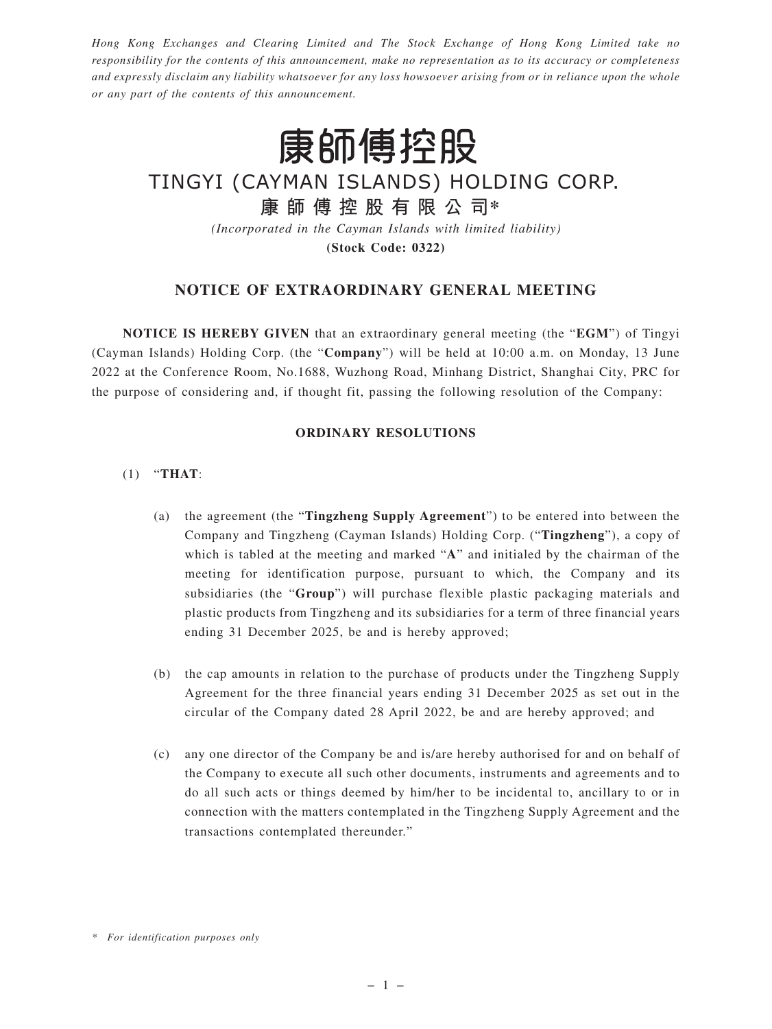*Hong Kong Exchanges and Clearing Limited and The Stock Exchange of Hong Kong Limited take no responsibility for the contents of this announcement, make no representation as to its accuracy or completeness and expressly disclaim any liability whatsoever for any loss howsoever arising from or in reliance upon the whole or any part of the contents of this announcement.*



# TINGYI (CAYMAN ISLANDS) HOLDING CORP.

## **康師傅控股有限公司\***

*(Incorporated in the Cayman Islands with limited liability)*

**(Stock Code: 0322)**

### **NOTICE OF EXTRAORDINARY GENERAL MEETING**

**NOTICE IS HEREBY GIVEN** that an extraordinary general meeting (the "**EGM**") of Tingyi (Cayman Islands) Holding Corp. (the "**Company**") will be held at 10:00 a.m. on Monday, 13 June 2022 at the Conference Room, No.1688, Wuzhong Road, Minhang District, Shanghai City, PRC for the purpose of considering and, if thought fit, passing the following resolution of the Company:

#### **ORDINARY RESOLUTIONS**

#### (1) "**THAT**:

- (a) the agreement (the "**Tingzheng Supply Agreement**") to be entered into between the Company and Tingzheng (Cayman Islands) Holding Corp. ("**Tingzheng**"), a copy of which is tabled at the meeting and marked "**A**" and initialed by the chairman of the meeting for identification purpose, pursuant to which, the Company and its subsidiaries (the "**Group**") will purchase flexible plastic packaging materials and plastic products from Tingzheng and its subsidiaries for a term of three financial years ending 31 December 2025, be and is hereby approved;
- (b) the cap amounts in relation to the purchase of products under the Tingzheng Supply Agreement for the three financial years ending 31 December 2025 as set out in the circular of the Company dated 28 April 2022, be and are hereby approved; and
- (c) any one director of the Company be and is/are hereby authorised for and on behalf of the Company to execute all such other documents, instruments and agreements and to do all such acts or things deemed by him/her to be incidental to, ancillary to or in connection with the matters contemplated in the Tingzheng Supply Agreement and the transactions contemplated thereunder."

*<sup>\*</sup> For identification purposes only*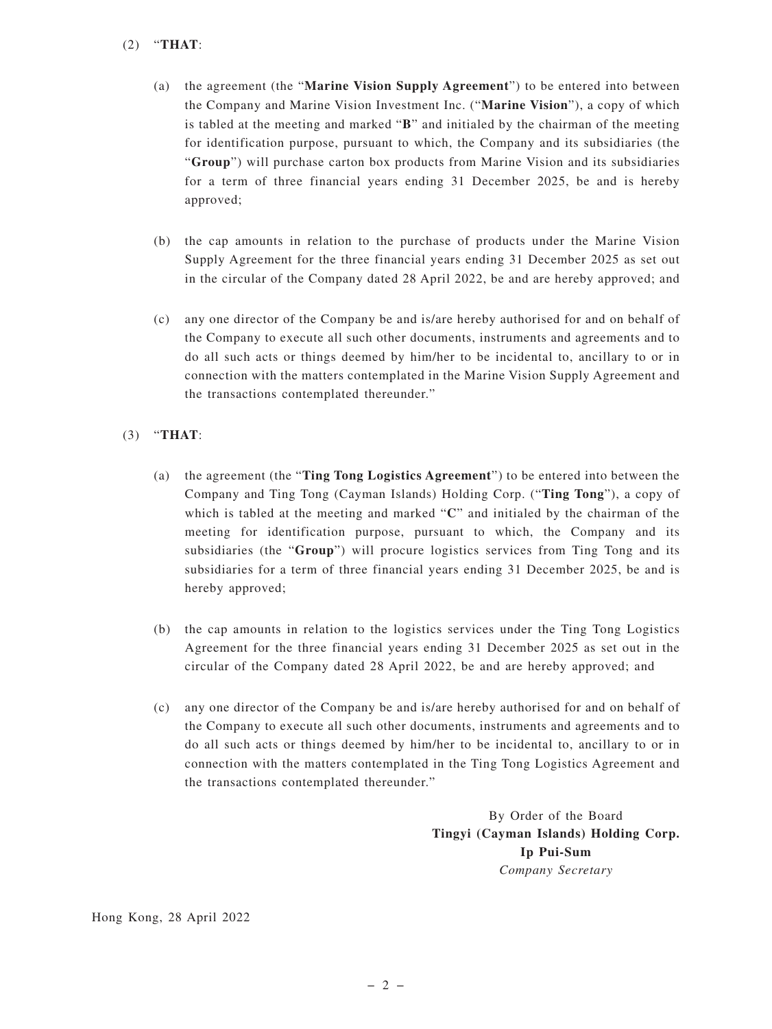#### (2) "**THAT**:

- (a) the agreement (the "**Marine Vision Supply Agreement**") to be entered into between the Company and Marine Vision Investment Inc. ("**Marine Vision**"), a copy of which is tabled at the meeting and marked "**B**" and initialed by the chairman of the meeting for identification purpose, pursuant to which, the Company and its subsidiaries (the "**Group**") will purchase carton box products from Marine Vision and its subsidiaries for a term of three financial years ending 31 December 2025, be and is hereby approved;
- (b) the cap amounts in relation to the purchase of products under the Marine Vision Supply Agreement for the three financial years ending 31 December 2025 as set out in the circular of the Company dated 28 April 2022, be and are hereby approved; and
- (c) any one director of the Company be and is/are hereby authorised for and on behalf of the Company to execute all such other documents, instruments and agreements and to do all such acts or things deemed by him/her to be incidental to, ancillary to or in connection with the matters contemplated in the Marine Vision Supply Agreement and the transactions contemplated thereunder."

#### (3) "**THAT**:

- (a) the agreement (the "**Ting Tong Logistics Agreement**") to be entered into between the Company and Ting Tong (Cayman Islands) Holding Corp. ("**Ting Tong**"), a copy of which is tabled at the meeting and marked "**C**" and initialed by the chairman of the meeting for identification purpose, pursuant to which, the Company and its subsidiaries (the "**Group**") will procure logistics services from Ting Tong and its subsidiaries for a term of three financial years ending 31 December 2025, be and is hereby approved;
- (b) the cap amounts in relation to the logistics services under the Ting Tong Logistics Agreement for the three financial years ending 31 December 2025 as set out in the circular of the Company dated 28 April 2022, be and are hereby approved; and
- (c) any one director of the Company be and is/are hereby authorised for and on behalf of the Company to execute all such other documents, instruments and agreements and to do all such acts or things deemed by him/her to be incidental to, ancillary to or in connection with the matters contemplated in the Ting Tong Logistics Agreement and the transactions contemplated thereunder."

By Order of the Board **Tingyi (Cayman Islands) Holding Corp. Ip Pui-Sum** *Company Secretary*

Hong Kong, 28 April 2022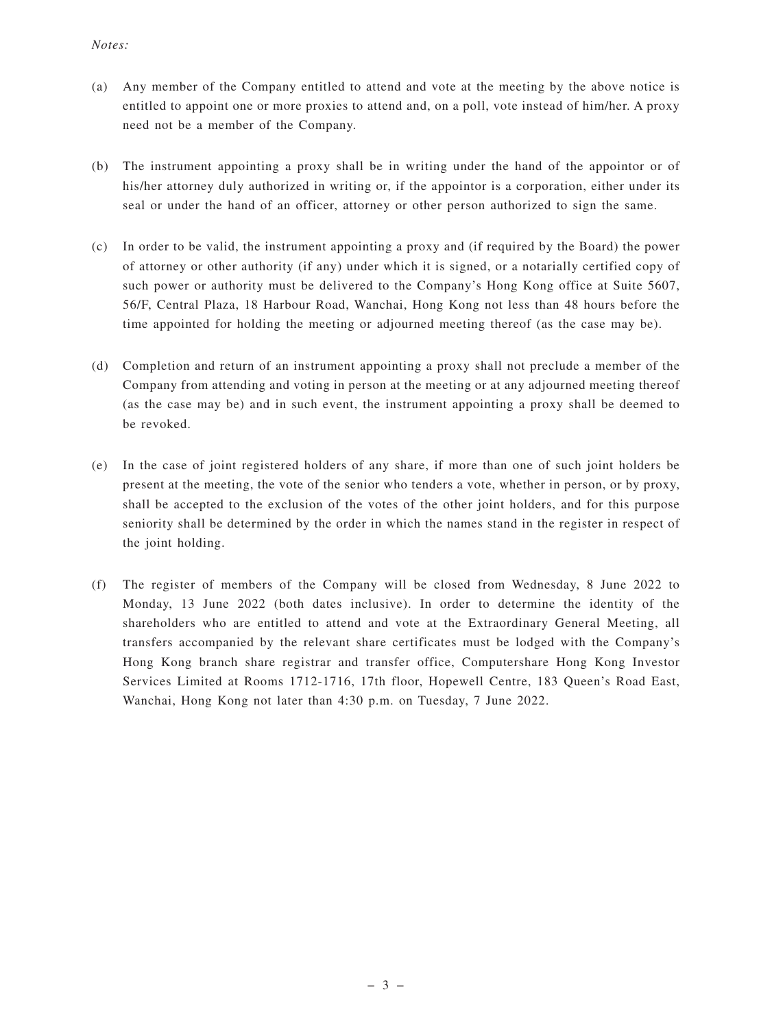#### *Notes:*

- (a) Any member of the Company entitled to attend and vote at the meeting by the above notice is entitled to appoint one or more proxies to attend and, on a poll, vote instead of him/her. A proxy need not be a member of the Company.
- (b) The instrument appointing a proxy shall be in writing under the hand of the appointor or of his/her attorney duly authorized in writing or, if the appointor is a corporation, either under its seal or under the hand of an officer, attorney or other person authorized to sign the same.
- (c) In order to be valid, the instrument appointing a proxy and (if required by the Board) the power of attorney or other authority (if any) under which it is signed, or a notarially certified copy of such power or authority must be delivered to the Company's Hong Kong office at Suite 5607, 56/F, Central Plaza, 18 Harbour Road, Wanchai, Hong Kong not less than 48 hours before the time appointed for holding the meeting or adjourned meeting thereof (as the case may be).
- (d) Completion and return of an instrument appointing a proxy shall not preclude a member of the Company from attending and voting in person at the meeting or at any adjourned meeting thereof (as the case may be) and in such event, the instrument appointing a proxy shall be deemed to be revoked.
- (e) In the case of joint registered holders of any share, if more than one of such joint holders be present at the meeting, the vote of the senior who tenders a vote, whether in person, or by proxy, shall be accepted to the exclusion of the votes of the other joint holders, and for this purpose seniority shall be determined by the order in which the names stand in the register in respect of the joint holding.
- (f) The register of members of the Company will be closed from Wednesday, 8 June 2022 to Monday, 13 June 2022 (both dates inclusive). In order to determine the identity of the shareholders who are entitled to attend and vote at the Extraordinary General Meeting, all transfers accompanied by the relevant share certificates must be lodged with the Company's Hong Kong branch share registrar and transfer office, Computershare Hong Kong Investor Services Limited at Rooms 1712-1716, 17th floor, Hopewell Centre, 183 Queen's Road East, Wanchai, Hong Kong not later than 4:30 p.m. on Tuesday, 7 June 2022.